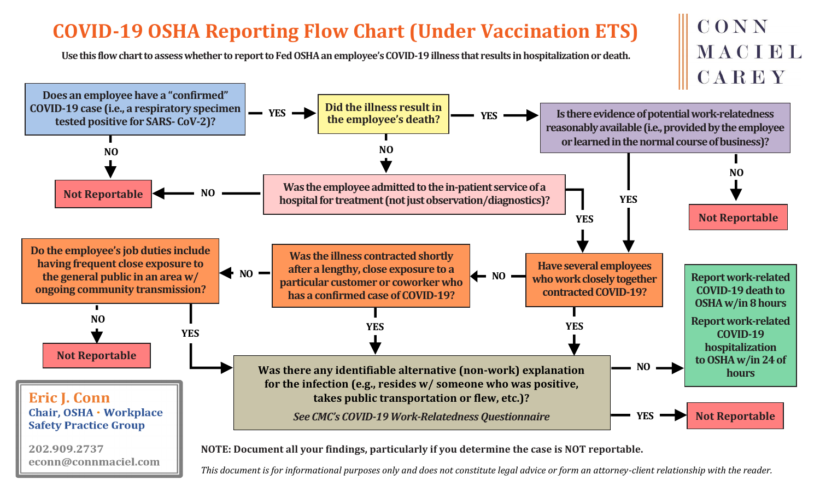## **COVID-19 OSHA Reporting Flow Chart (Under Vaccination ETS)**

**Use this flow chart to assess whether to report to Fed OSHA an employee's COVID-19 illness that results in hospitalization or death.**



*This document is for informational purposes only and does not constitute legal advice or form an attorney-client relationship with the reader.*

CONN

MACIBL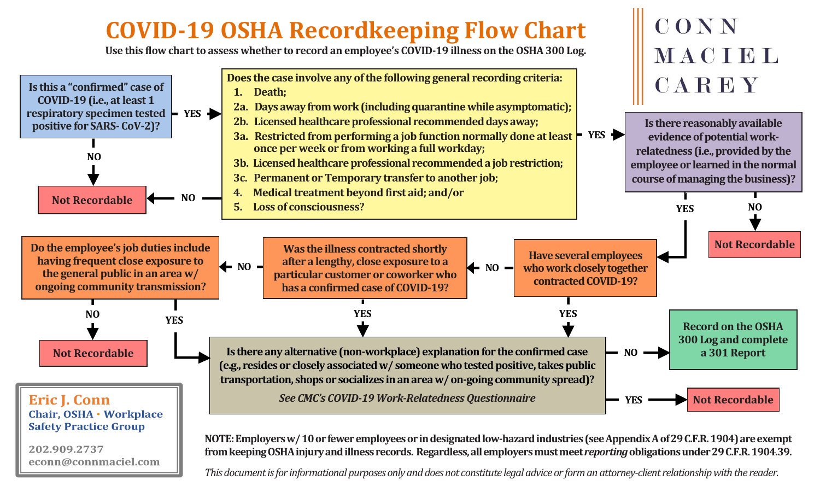## **COVID-19 OSHA Recordkeeping Flow Chart**

**Use this flow chart to assess whether to record an employee's COVID-19 illness on the OSHA 300 Log.**

econn@connmaciel.com



*This document is for informational purposes only and does not constitute legal advice or form an attorney-client relationship with the reader.*

CONN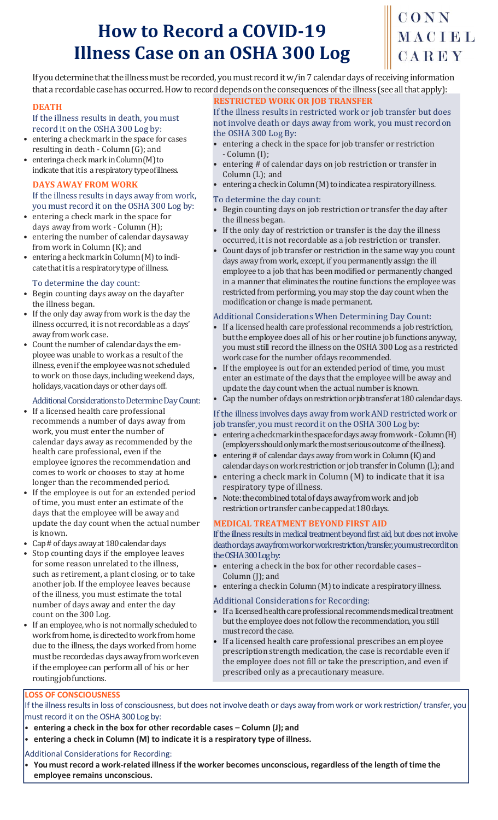## **How to Record a COVID-19 Illness Case on an OSHA 300 Log**

## CONN MACIEL CAREY

If you determine that the illness must be recorded, you must record it w/in 7 calendar days of receiving information that a recordable case has occurred. How to record depends on the consequences of the illness (see all that apply):

#### **DEATH**

#### If the illness results in death, you must record it on the OSHA 300 Log by:

- entering a check mark in the space for cases resulting in death - Column (G); and
- enteringa check mark in Column (M) to indicate that itis a respiratory typeofillness.

#### **DAYS AWAY FROM WORK**

#### If the illness results in days away from work, you must record it on the OSHA 300 Log by:

- entering a check mark in the space for days away from work - Column (H);
- entering the number of calendar daysaway from work in Column (K); and
- entering a heck mark in Column (M) to indicate that it is a respiratory type of illness.

#### To determine the day count:

- Begin counting days away on the dayafter the illness began.
- If the only day away from work is the day the illness occurred, it is not recordable as a days' away fromwork case.
- Count the number of calendar days the employee was unable to work as a result of the illness, even if the employee was not scheduled to work on those days, including weekend days, holidays, vacation days or other days off.

#### Additional Considerations to Determine Day Count:

- If a licensed health care professional recommends a number of days away from work, you must enter the number of calendar days away as recommended by the health care professional, even if the employee ignores the recommendation and comes to work or chooses to stay at home longer than the recommended period.
- If the employee is out for an extended period of time, you must enter an estimate of the days that the employee will be away and update the day count when the actual number is known.
- Cap # of days away at 180 calendar days
- Stop counting days if the employee leaves for some reason unrelated to the illness, such as retirement, a plant closing, or to take another job. If the employee leaves because of the illness, you must estimate the total number of days away and enter the day count on the 300 Log.
- If an employee, who is not normally scheduled to work from home, is directed to work from home due to the illness, the days worked from home must be recorded as days away from work even if the employee can perform all of his or her routing job functions.

### **RESTRICTED WORK OR JOB TRANSFER**

If the illness results in restricted work or job transfer but does not involve death or days away from work, you must recordon the OSHA 300 Log By:

- entering a check in the space for job transfer or restriction - Column (I);
- entering # of calendar days on job restriction or transfer in Column (L); and
- entering a check in Column (M) to indicate a respiratory illness.

#### To determine the day count:

- Begin counting days on job restriction or transfer the day after the illness began.
- If the only day of restriction or transfer is the day the illness occurred, it is not recordable as a job restriction or transfer.
- Count days of job transfer or restriction in the same way you count days away from work, except, if you permanently assign the ill employee to a job that has been modified or permanently changed in a manner that eliminates the routine functions the employee was restricted from performing, you may stop the day count when the modification or change ismade permanent.

#### Additional Considerations When Determining Day Count:

- If a licensed health care professional recommends a job restriction, but the employee does all of his or her routine job functions anyway, you must still record the illness on the OSHA 300 Log as a restricted work case for the number ofdays recommended.
- If the employee is out for an extended period of time, you must enter an estimate of the days that the employee will be away and update the day count when the actual number isknown.
- Cap the number of days on restriction or job transfer at 180 calendar days.

#### If the illness involves days away from work AND restricted work or job transfer, you must record it on the OSHA 300 Log by:

- entering a check mark in the space for days away from work Column (H) (employers should only mark the most serious outcome of the illness).
- entering # of calendar days away from work in Column (K) and
- calendar days on work restriction or job transfer in Column (L); and entering a check mark in Column (M) to indicate that it is a respiratory type of illness.
- Note: the combined total of days away from work and job restriction or transfer can be capped at 180 days.

#### **MEDICAL TREATMENT BEYOND FIRST AID**

If the illness results in medical treatment beyond first aid, but does not involve death or days away from work or work restriction/transfer, you must record it on the OSHA 300 Log by:

- entering a check in the box for other recordable cases– Column (J); and
- $\bullet$  entering a check in Column (M) to indicate a respiratory illness.

#### Additional Considerations for Recording:

- If a licensed health care professional recommends medical treatment but the employee does not follow the recommendation, you still must record the case.
- If a licensed health care professional prescribes an employee prescription strength medication, the case is recordable even if the employee does not fill or take the prescription, and even if prescribed only as a precautionary measure.

#### **LOSS OF CONSCIOUSNESS**

If the illness results in loss of consciousness, but does not involve death or days away from work or work restriction/ transfer, you must record it on the OSHA 300 Log by:

- **entering a check in the box for other recordable cases – Column (J); and**
- **entering a check in Column (M) to indicate it is a respiratory type of illness.**

#### Additional Considerations for Recording:

You must record a work-related illness if the worker becomes unconscious, regardless of the length of time the **employee remains unconscious.**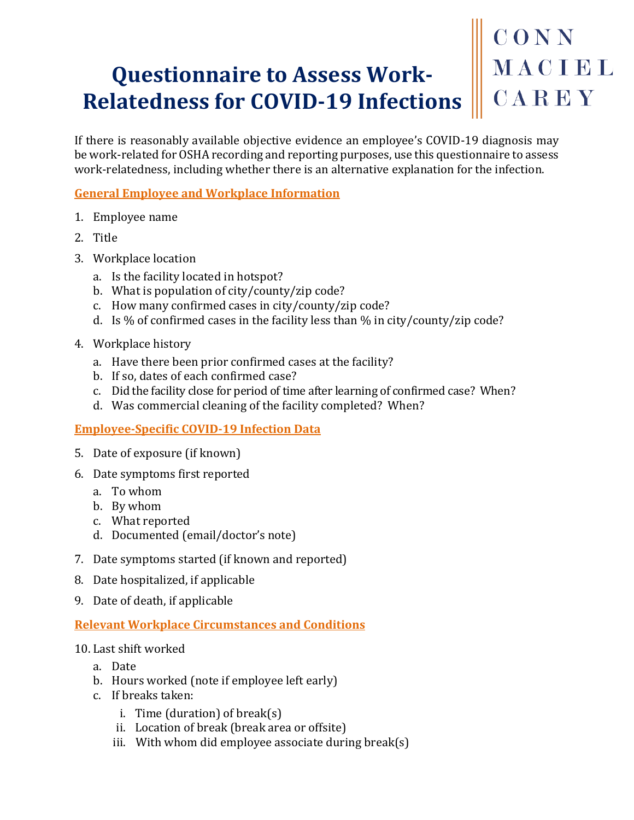## **Questionnaire to Assess Work-Relatedness for COVID-19 Infections**

If there is reasonably available objective evidence an employee's COVID-19 diagnosis may be work-related for OSHA recording and reporting purposes, use this questionnaire to assess work-relatedness, including whether there is an alternative explanation for the infection.

#### **General Employee and Workplace Information**

- 1. Employee name
- 2. Title
- 3. Workplace location
	- a. Is the facility located in hotspot?
	- b. What is population of city/county/zip code?
	- c. How many confirmed cases in city/county/zip code?
	- d. Is % of confirmed cases in the facility less than % in city/county/zip code?
- 4. Workplace history
	- a. Have there been prior confirmed cases at the facility?
	- b. If so, dates of each confirmed case?
	- c. Did the facility close for period of time after learning of confirmed case? When?
	- d. Was commercial cleaning of the facility completed? When?

#### **Employee-Specific COVID-19 Infection Data**

- 5. Date of exposure (if known)
- 6. Date symptoms first reported
	- a. To whom
	- b. By whom
	- c. What reported
	- d. Documented (email/doctor's note)
- 7. Date symptoms started (if known and reported)
- 8. Date hospitalized, if applicable
- 9. Date of death, if applicable

#### **Relevant Workplace Circumstances and Conditions**

- 10. Last shift worked
	- a. Date
	- b. Hours worked (note if employee left early)
	- c. If breaks taken:
		- i. Time (duration) of break(s)
		- ii. Location of break (break area or offsite)
		- iii. With whom did employee associate during break(s)